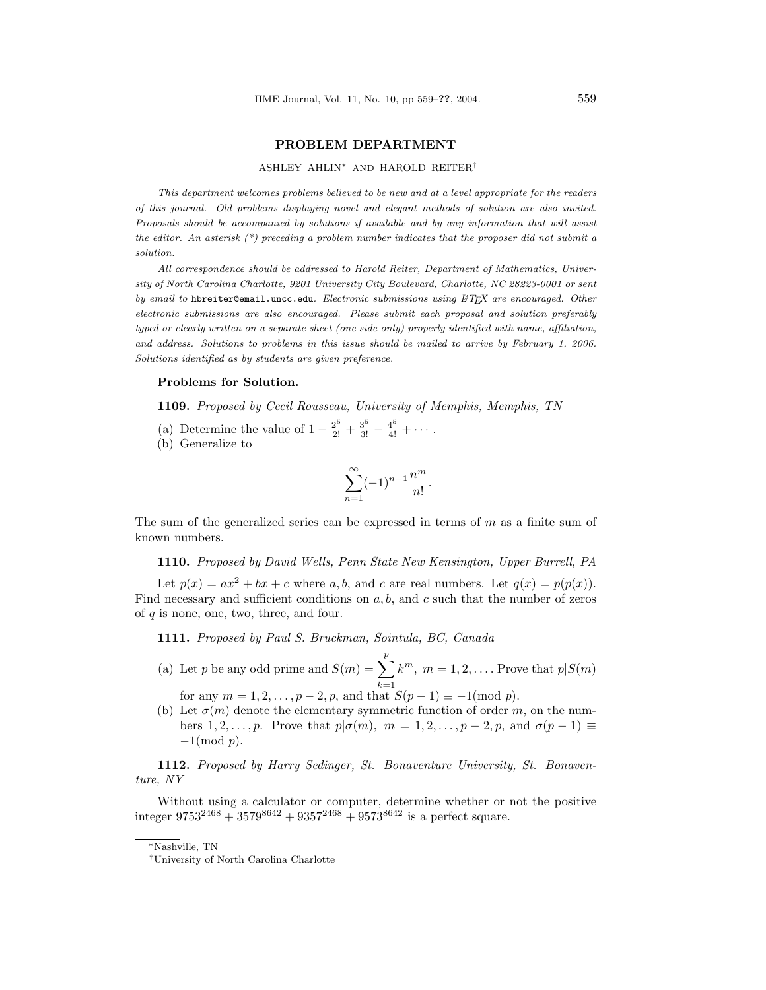## PROBLEM DEPARTMENT

#### ASHLEY AHLIN<sup>∗</sup> AND HAROLD REITER†

This department welcomes problems believed to be new and at a level appropriate for the readers of this journal. Old problems displaying novel and elegant methods of solution are also invited. Proposals should be accompanied by solutions if available and by any information that will assist the editor. An asterisk  $(*)$  preceding a problem number indicates that the proposer did not submit a solution.

All correspondence should be addressed to Harold Reiter, Department of Mathematics, University of North Carolina Charlotte, 9201 University City Boulevard, Charlotte, NC 28223-0001 or sent by email to hbreiter@email.uncc.edu. Electronic submissions using LATFX are encouraged. Other electronic submissions are also encouraged. Please submit each proposal and solution preferably typed or clearly written on a separate sheet (one side only) properly identified with name, affiliation, and address. Solutions to problems in this issue should be mailed to arrive by February 1, 2006. Solutions identified as by students are given preference.

#### Problems for Solution.

1109. Proposed by Cecil Rousseau, University of Memphis, Memphis, TN

- (a) Determine the value of  $1 \frac{2^5}{2!} + \frac{3^5}{3!} \frac{4^5}{4!} + \cdots$ .
- (b) Generalize to

$$
\sum_{n=1}^{\infty} (-1)^{n-1} \frac{n^m}{n!}.
$$

The sum of the generalized series can be expressed in terms of  $m$  as a finite sum of known numbers.

1110. Proposed by David Wells, Penn State New Kensington, Upper Burrell, PA

Let  $p(x) = ax^2 + bx + c$  where a, b, and c are real numbers. Let  $q(x) = p(p(x))$ . Find necessary and sufficient conditions on  $a, b$ , and  $c$  such that the number of zeros of  $q$  is none, one, two, three, and four.

1111. Proposed by Paul S. Bruckman, Sointula, BC, Canada

- (a) Let p be any odd prime and  $S(m) = \sum_{i=1}^{p}$  $k=1$  $k^m$ ,  $m = 1, 2, \ldots$  Prove that  $p|S(m)$ for any  $m = 1, 2, ..., p - 2, p$ , and that  $S(p - 1) \equiv -1 \pmod{p}$ .
- (b) Let  $\sigma(m)$  denote the elementary symmetric function of order m, on the numbers 1, 2, ..., p. Prove that  $p | \sigma(m)$ ,  $m = 1, 2, \ldots, p - 2, p$ , and  $\sigma(p-1) \equiv$  $-1 \pmod{p}$ .

1112. Proposed by Harry Sedinger, St. Bonaventure University, St. Bonaventure, NY

Without using a calculator or computer, determine whether or not the positive integer  $9753^{2468} + 3579^{8642} + 9357^{2468} + 9573^{8642}$  is a perfect square.

<sup>∗</sup>Nashville, TN

<sup>†</sup>University of North Carolina Charlotte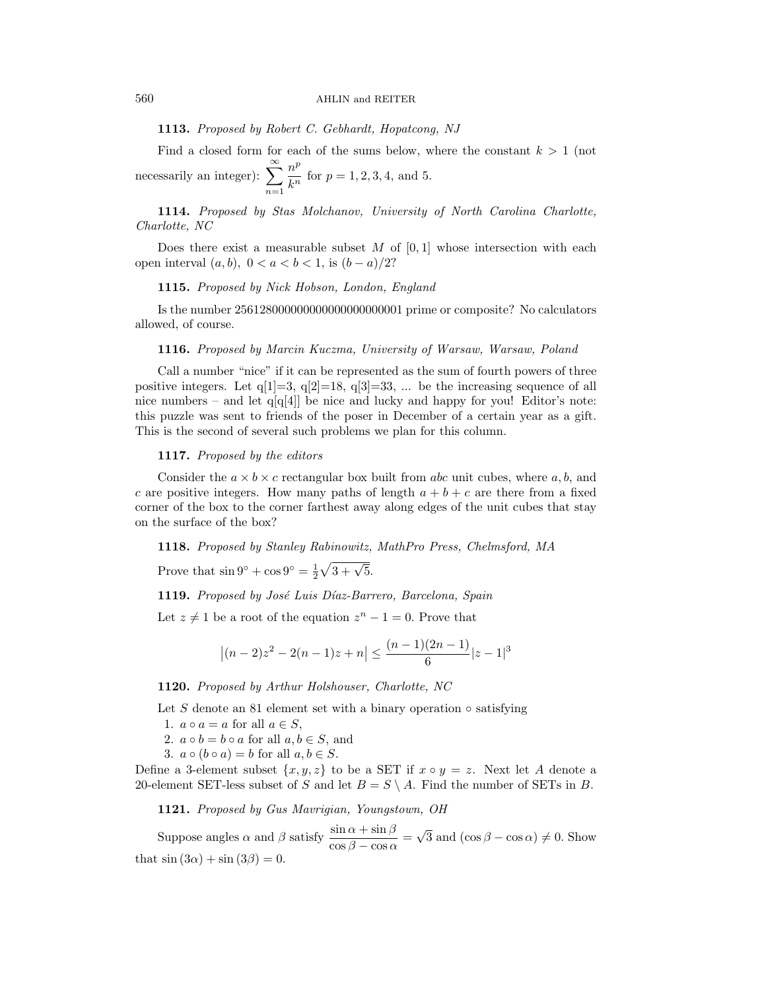1113. Proposed by Robert C. Gebhardt, Hopatcong, NJ

Find a closed form for each of the sums below, where the constant  $k > 1$  (not necessarily an integer):  $\sum_{n=1}^{\infty}$  $n=1$  $n^p$  $\frac{n}{k^n}$  for  $p = 1, 2, 3, 4$ , and 5.

1114. Proposed by Stas Molchanov, University of North Carolina Charlotte, Charlotte, NC

Does there exist a measurable subset  $M$  of  $[0,1]$  whose intersection with each open interval  $(a, b)$ ,  $0 < a < b < 1$ , is  $(b - a)/2$ ?

### 1115. Proposed by Nick Hobson, London, England

Is the number 256128000000000000000000001 prime or composite? No calculators allowed, of course.

### 1116. Proposed by Marcin Kuczma, University of Warsaw, Warsaw, Poland

Call a number "nice" if it can be represented as the sum of fourth powers of three positive integers. Let  $q[1]=3$ ,  $q[2]=18$ ,  $q[3]=33$ , ... be the increasing sequence of all nice numbers – and let  $q[q[4]]$  be nice and lucky and happy for you! Editor's note: this puzzle was sent to friends of the poser in December of a certain year as a gift. This is the second of several such problems we plan for this column.

### 1117. Proposed by the editors

Consider the  $a \times b \times c$  rectangular box built from abc unit cubes, where a, b, and c are positive integers. How many paths of length  $a + b + c$  are there from a fixed corner of the box to the corner farthest away along edges of the unit cubes that stay on the surface of the box?

1118. Proposed by Stanley Rabinowitz, MathPro Press, Chelmsford, MA

Prove that  $\sin 9^\circ + \cos 9^\circ = \frac{1}{2}$  $\sqrt{3 + \sqrt{5}}$ .

1119. Proposed by José Luis Díaz-Barrero, Barcelona, Spain

Let  $z \neq 1$  be a root of the equation  $z^n - 1 = 0$ . Prove that

$$
|(n-2)z2 - 2(n-1)z + n| \le \frac{(n-1)(2n-1)}{6}|z - 1|^{3}
$$

1120. Proposed by Arthur Holshouser, Charlotte, NC

Let S denote an 81 element set with a binary operation  $\circ$  satisfying

- 1.  $a \circ a = a$  for all  $a \in S$ ,
- 2.  $a \circ b = b \circ a$  for all  $a, b \in S$ , and
- 3.  $a \circ (b \circ a) = b$  for all  $a, b \in S$ .

Define a 3-element subset  $\{x, y, z\}$  to be a SET if  $x \circ y = z$ . Next let A denote a 20-element SET-less subset of S and let  $B = S \setminus A$ . Find the number of SETs in B.

1121. Proposed by Gus Mavrigian, Youngstown, OH

Suppose angles  $\alpha$  and  $\beta$  satisfy  $\frac{\sin \alpha + \sin \beta}{\cos \beta - \cos \alpha} =$ √ 3 and  $(\cos \beta - \cos \alpha) \neq 0$ . Show that  $\sin(3\alpha) + \sin(3\beta) = 0$ .